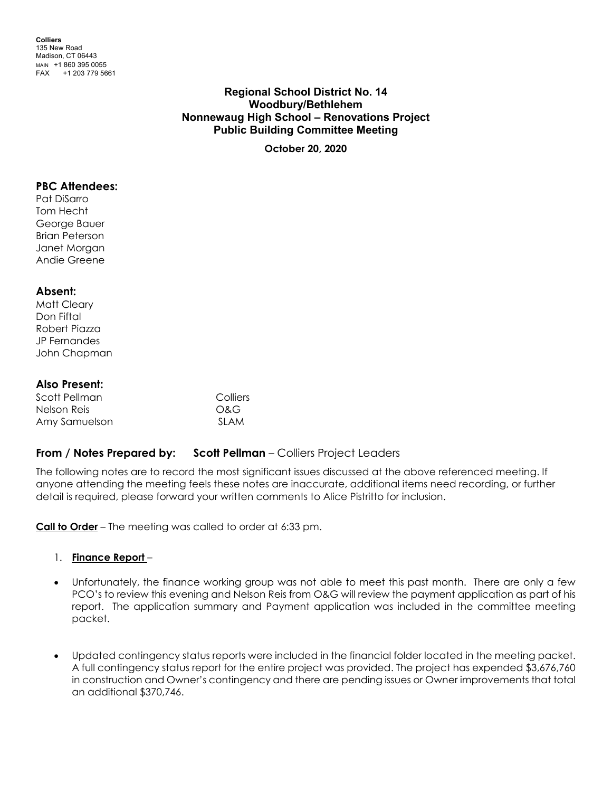**Colliers** 135 New Road Madison, CT 06443 MAIN +1 860 395 0055 FAX +1 203 779 5661

# **Regional School District No. 14 Woodbury/Bethlehem Nonnewaug High School – Renovations Project Public Building Committee Meeting**

**October 20, 2020**

#### **PBC Attendees:**

Pat DiSarro Tom Hecht George Bauer Brian Peterson Janet Morgan Andie Greene

### **Absent:**

Matt Cleary Don Fiftal Robert Piazza JP Fernandes John Chapman

### **Also Present:**

| Scott Pellman | Colliers |
|---------------|----------|
| Nelson Reis   | O&G      |
| Amy Samuelson | SI AM    |

# **From / Notes Prepared by: Scott Pellman – Colliers Project Leaders**

The following notes are to record the most significant issues discussed at the above referenced meeting. If anyone attending the meeting feels these notes are inaccurate, additional items need recording, or further detail is required, please forward your written comments to Alice Pistritto for inclusion.

**Call to Order** – The meeting was called to order at 6:33 pm.

#### 1. **Finance Report** –

- Unfortunately, the finance working group was not able to meet this past month. There are only a few PCO's to review this evening and Nelson Reis from O&G will review the payment application as part of his report. The application summary and Payment application was included in the committee meeting packet.
- Updated contingency status reports were included in the financial folder located in the meeting packet. A full contingency status report for the entire project was provided. The project has expended \$3,676,760 in construction and Owner's contingency and there are pending issues or Owner improvements that total an additional \$370,746.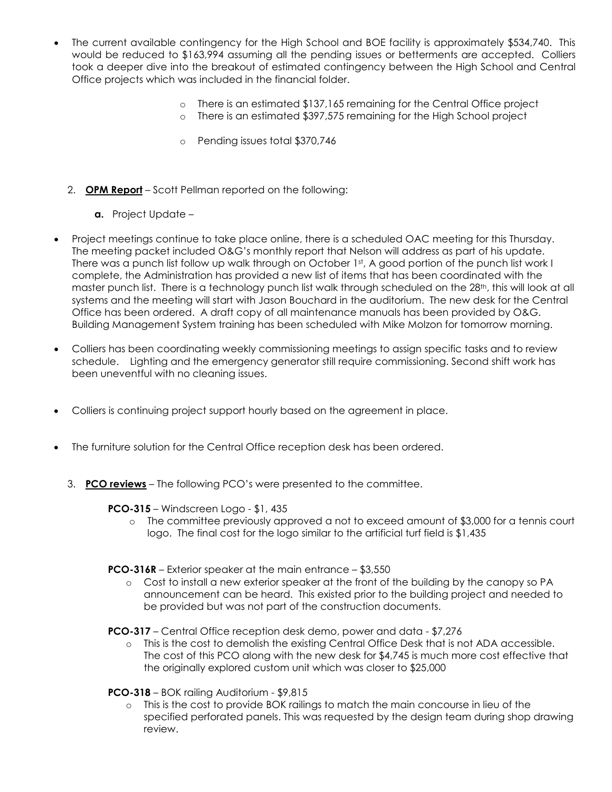- The current available contingency for the High School and BOE facility is approximately \$534,740. This would be reduced to \$163,994 assuming all the pending issues or betterments are accepted. Colliers took a deeper dive into the breakout of estimated contingency between the High School and Central Office projects which was included in the financial folder.
	- o There is an estimated \$137,165 remaining for the Central Office project
	- o There is an estimated \$397,575 remaining for the High School project
	- o Pending issues total \$370,746
	- 2. **OPM Report** Scott Pellman reported on the following:
		- **a.** Project Update –
- Project meetings continue to take place online, there is a scheduled OAC meeting for this Thursday. The meeting packet included O&G's monthly report that Nelson will address as part of his update. There was a punch list follow up walk through on October 1st, A good portion of the punch list work I complete, the Administration has provided a new list of items that has been coordinated with the master punch list. There is a technology punch list walk through scheduled on the 28<sup>th</sup>, this will look at all systems and the meeting will start with Jason Bouchard in the auditorium. The new desk for the Central Office has been ordered. A draft copy of all maintenance manuals has been provided by O&G. Building Management System training has been scheduled with Mike Molzon for tomorrow morning.
- Colliers has been coordinating weekly commissioning meetings to assign specific tasks and to review schedule. Lighting and the emergency generator still require commissioning. Second shift work has been uneventful with no cleaning issues.
- Colliers is continuing project support hourly based on the agreement in place.
- The furniture solution for the Central Office reception desk has been ordered.
	- 3. **PCO reviews** The following PCO's were presented to the committee.

### **PCO-315** – Windscreen Logo - \$1, 435

o The committee previously approved a not to exceed amount of \$3,000 for a tennis court logo. The final cost for the logo similar to the artificial turf field is \$1,435

**PCO-316R** – Exterior speaker at the main entrance – \$3,550

o Cost to install a new exterior speaker at the front of the building by the canopy so PA announcement can be heard. This existed prior to the building project and needed to be provided but was not part of the construction documents.

**PCO-317** – Central Office reception desk demo, power and data - \$7,276

- o This is the cost to demolish the existing Central Office Desk that is not ADA accessible. The cost of this PCO along with the new desk for \$4,745 is much more cost effective that the originally explored custom unit which was closer to \$25,000
- **PCO-318** BOK railing Auditorium \$9,815
	- o This is the cost to provide BOK railings to match the main concourse in lieu of the specified perforated panels. This was requested by the design team during shop drawing review.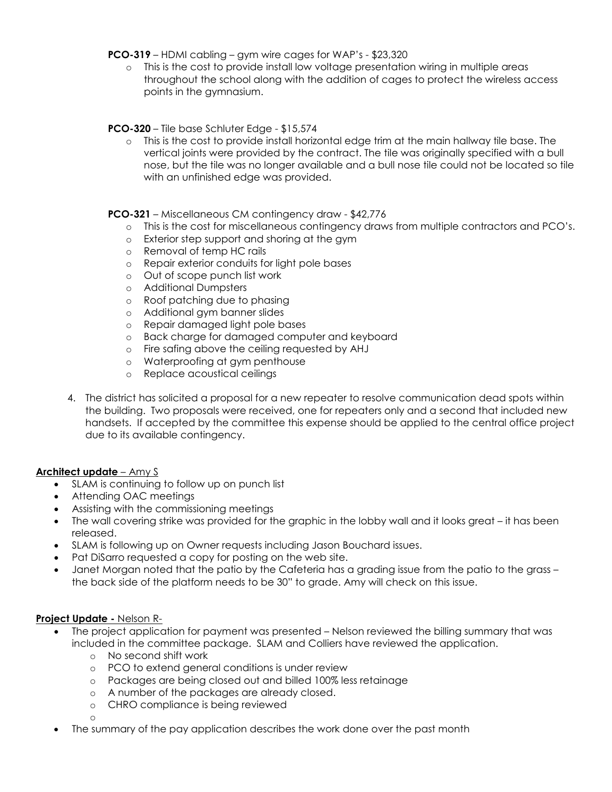**PCO-319** – HDMI cabling – gym wire cages for WAP's - \$23,320

o This is the cost to provide install low voltage presentation wiring in multiple areas throughout the school along with the addition of cages to protect the wireless access points in the gymnasium.

# **PCO-320** – Tile base Schluter Edge - \$15,574

o This is the cost to provide install horizontal edge trim at the main hallway tile base. The vertical joints were provided by the contract. The tile was originally specified with a bull nose, but the tile was no longer available and a bull nose tile could not be located so tile with an unfinished edge was provided.

### **PCO-321** – Miscellaneous CM contingency draw - \$42,776

- o This is the cost for miscellaneous contingency draws from multiple contractors and PCO's.
- o Exterior step support and shoring at the gym
- o Removal of temp HC rails
- o Repair exterior conduits for light pole bases
- o Out of scope punch list work
- o Additional Dumpsters<br>
o Roof patching due to
- Roof patching due to phasing
- o Additional gym banner slides
- o Repair damaged light pole bases
- o Back charge for damaged computer and keyboard
- o Fire safing above the ceiling requested by AHJ
- o Waterproofing at gym penthouse
- o Replace acoustical ceilings
- 4. The district has solicited a proposal for a new repeater to resolve communication dead spots within the building. Two proposals were received, one for repeaters only and a second that included new handsets. If accepted by the committee this expense should be applied to the central office project due to its available contingency.

### **Architect update** – Amy S

- SLAM is continuing to follow up on punch list
- Attending OAC meetings
- Assisting with the commissioning meetings
- The wall covering strike was provided for the graphic in the lobby wall and it looks great it has been released.
- SLAM is following up on Owner requests including Jason Bouchard issues.
- Pat DiSarro requested a copy for posting on the web site.
- Janet Morgan noted that the patio by the Cafeteria has a grading issue from the patio to the grass the back side of the platform needs to be 30" to grade. Amy will check on this issue.

### **Project Update -** Nelson R-

- The project application for payment was presented Nelson reviewed the billing summary that was included in the committee package. SLAM and Colliers have reviewed the application.
	- o No second shift work
	- o PCO to extend general conditions is under review
	- o Packages are being closed out and billed 100% less retainage
	- o A number of the packages are already closed.
	- o CHRO compliance is being reviewed

o

• The summary of the pay application describes the work done over the past month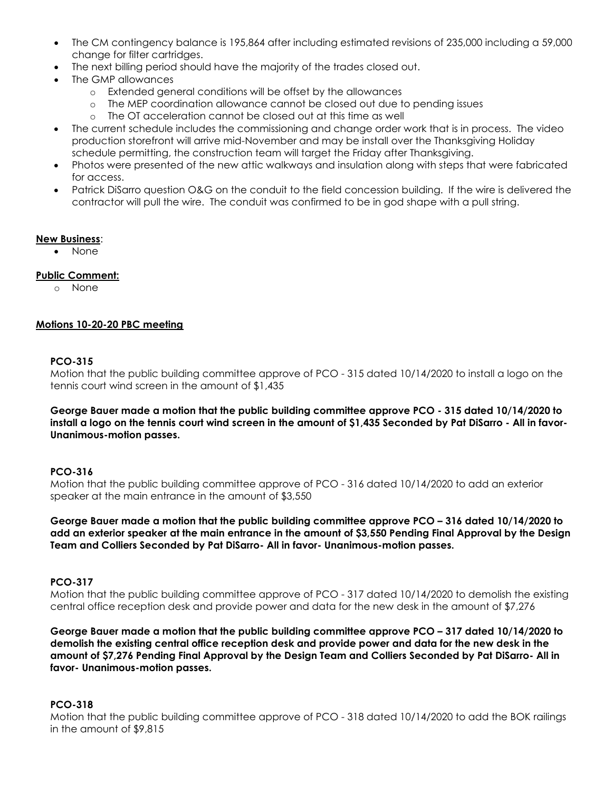- The CM contingency balance is 195,864 after including estimated revisions of 235,000 including a 59,000 change for filter cartridges.
- The next billing period should have the majority of the trades closed out.
- The GMP allowances
	- o Extended general conditions will be offset by the allowances
	- o The MEP coordination allowance cannot be closed out due to pending issues
	- o The OT acceleration cannot be closed out at this time as well
- The current schedule includes the commissioning and change order work that is in process. The video production storefront will arrive mid-November and may be install over the Thanksgiving Holiday schedule permitting, the construction team will target the Friday after Thanksgiving.
- Photos were presented of the new attic walkways and insulation along with steps that were fabricated for access.
- Patrick DiSarro question O&G on the conduit to the field concession building. If the wire is delivered the contractor will pull the wire. The conduit was confirmed to be in god shape with a pull string.

#### **New Business**:

• None

### **Public Comment:**

o None

### **Motions 10-20-20 PBC meeting**

#### **PCO-315**

Motion that the public building committee approve of PCO - 315 dated 10/14/2020 to install a logo on the tennis court wind screen in the amount of \$1,435

**George Bauer made a motion that the public building committee approve PCO - 315 dated 10/14/2020 to install a logo on the tennis court wind screen in the amount of \$1,435 Seconded by Pat DiSarro - All in favor-Unanimous-motion passes.**

### **PCO-316**

Motion that the public building committee approve of PCO - 316 dated 10/14/2020 to add an exterior speaker at the main entrance in the amount of \$3,550

**George Bauer made a motion that the public building committee approve PCO – 316 dated 10/14/2020 to add an exterior speaker at the main entrance in the amount of \$3,550 Pending Final Approval by the Design Team and Colliers Seconded by Pat DiSarro- All in favor- Unanimous-motion passes.**

#### **PCO-317**

Motion that the public building committee approve of PCO - 317 dated 10/14/2020 to demolish the existing central office reception desk and provide power and data for the new desk in the amount of \$7,276

**George Bauer made a motion that the public building committee approve PCO – 317 dated 10/14/2020 to demolish the existing central office reception desk and provide power and data for the new desk in the amount of \$7,276 Pending Final Approval by the Design Team and Colliers Seconded by Pat DiSarro- All in favor- Unanimous-motion passes.**

# **PCO-318**

Motion that the public building committee approve of PCO - 318 dated 10/14/2020 to add the BOK railings in the amount of \$9,815